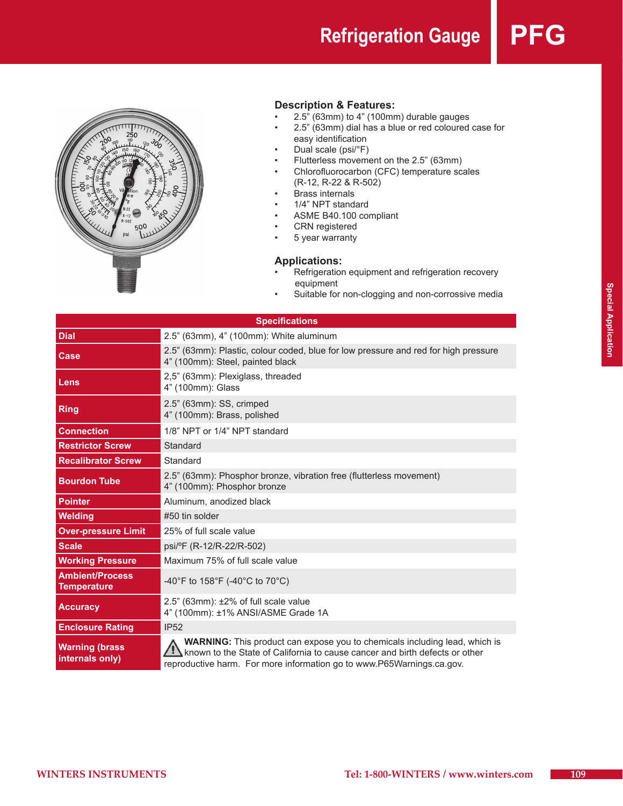**Refrigeration Gauge** 



## **Description & Features:**

- $2.5"$  (63mm) to 4" (100mm) durable gauges
- 2.5" (63mm) dial has a blue or red coloured case for easy identification
- Dual scale (psi/°F)
- • Flutterless movement on the 2.5" (63mm)
- • Chlorofluorocarbon (CFC) temperature scales (R-12, R-22 & R-502)
- • Brass internals
- • 1/4" NPT standard
- • ASME B40.100 compliant
- • CRN registered
- • 5 year warranty

### **Applications:**

- Refrigeration equipment and refrigeration recovery equipment
- Suitable for non-clogging and non-corrossive media

| <b>Specifications</b>                        |                                                                                                                                                                                                                                           |  |  |
|----------------------------------------------|-------------------------------------------------------------------------------------------------------------------------------------------------------------------------------------------------------------------------------------------|--|--|
| <b>Dial</b>                                  | 2.5" (63mm), 4" (100mm): White aluminum                                                                                                                                                                                                   |  |  |
| <b>Case</b>                                  | 2.5" (63mm): Plastic, colour coded, blue for low pressure and red for high pressure<br>4" (100mm): Steel, painted black                                                                                                                   |  |  |
| Lens                                         | 2,5" (63mm): Plexiglass, threaded<br>4" (100mm): Glass                                                                                                                                                                                    |  |  |
| <b>Ring</b>                                  | 2.5" (63mm): SS, crimped<br>4" (100mm): Brass, polished                                                                                                                                                                                   |  |  |
| <b>Connection</b>                            | 1/8" NPT or 1/4" NPT standard                                                                                                                                                                                                             |  |  |
| <b>Restrictor Screw</b>                      | Standard                                                                                                                                                                                                                                  |  |  |
| <b>Recalibrator Screw</b>                    | Standard                                                                                                                                                                                                                                  |  |  |
| <b>Bourdon Tube</b>                          | 2.5" (63mm): Phosphor bronze, vibration free (flutterless movement)<br>4" (100mm): Phosphor bronze                                                                                                                                        |  |  |
| <b>Pointer</b>                               | Aluminum, anodized black                                                                                                                                                                                                                  |  |  |
| <b>Welding</b>                               | #50 tin solder                                                                                                                                                                                                                            |  |  |
| <b>Over-pressure Limit</b>                   | 25% of full scale value                                                                                                                                                                                                                   |  |  |
| <b>Scale</b>                                 | psi/ºF (R-12/R-22/R-502)                                                                                                                                                                                                                  |  |  |
| <b>Working Pressure</b>                      | Maximum 75% of full scale value                                                                                                                                                                                                           |  |  |
| <b>Ambient/Process</b><br><b>Temperature</b> | -40°F to 158°F (-40°C to 70°C)                                                                                                                                                                                                            |  |  |
| <b>Accuracy</b>                              | 2.5" (63mm): ±2% of full scale value<br>4" (100mm): ±1% ANSI/ASME Grade 1A                                                                                                                                                                |  |  |
| <b>Enclosure Rating</b>                      | <b>IP52</b>                                                                                                                                                                                                                               |  |  |
| <b>Warning (brass</b><br>internals only)     | <b>WARNING:</b> This product can expose you to chemicals including lead, which is<br>known to the State of California to cause cancer and birth defects or other<br>reproductive harm. For more information go to www.P65Warnings.ca.gov. |  |  |